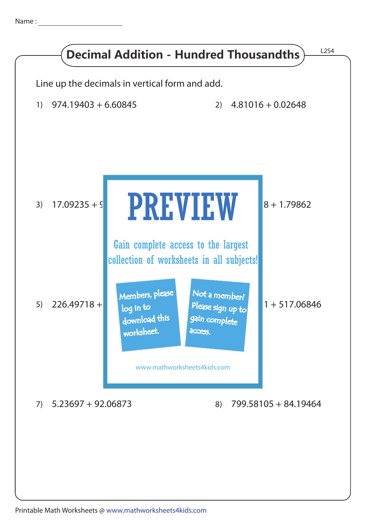